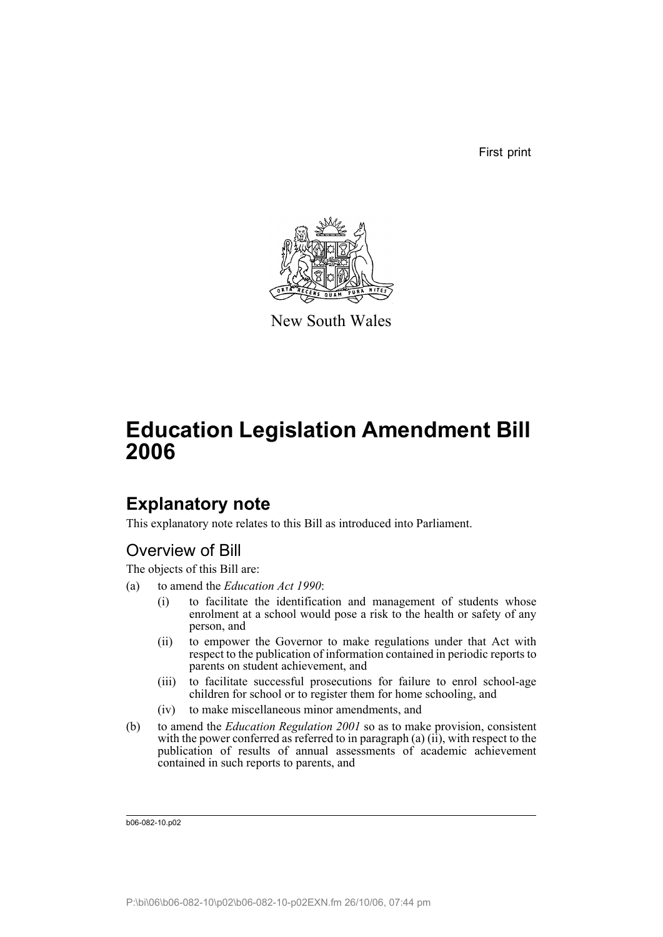First print



New South Wales

# **Education Legislation Amendment Bill 2006**

# **Explanatory note**

This explanatory note relates to this Bill as introduced into Parliament.

# Overview of Bill

The objects of this Bill are:

- (a) to amend the *Education Act 1990*:
	- (i) to facilitate the identification and management of students whose enrolment at a school would pose a risk to the health or safety of any person, and
	- (ii) to empower the Governor to make regulations under that Act with respect to the publication of information contained in periodic reports to parents on student achievement, and
	- (iii) to facilitate successful prosecutions for failure to enrol school-age children for school or to register them for home schooling, and
	- (iv) to make miscellaneous minor amendments, and
- (b) to amend the *Education Regulation 2001* so as to make provision, consistent with the power conferred as referred to in paragraph (a) (ii), with respect to the publication of results of annual assessments of academic achievement contained in such reports to parents, and

b06-082-10.p02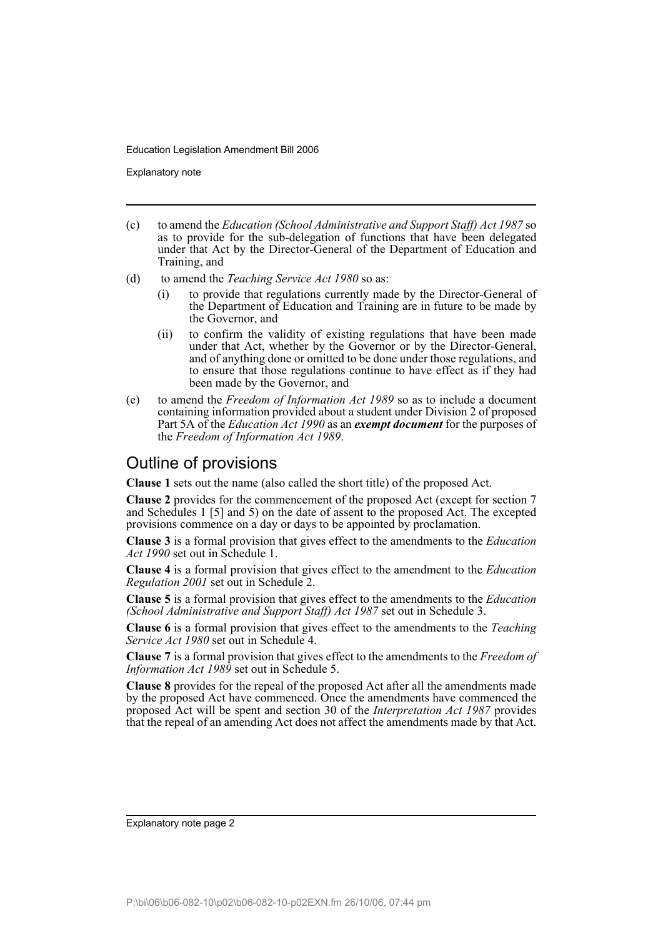Explanatory note

- (c) to amend the *Education (School Administrative and Support Staff) Act 1987* so as to provide for the sub-delegation of functions that have been delegated under that Act by the Director-General of the Department of Education and Training, and
- (d) to amend the *Teaching Service Act 1980* so as:
	- (i) to provide that regulations currently made by the Director-General of the Department of Education and Training are in future to be made by the Governor, and
	- (ii) to confirm the validity of existing regulations that have been made under that Act, whether by the Governor or by the Director-General, and of anything done or omitted to be done under those regulations, and to ensure that those regulations continue to have effect as if they had been made by the Governor, and
- (e) to amend the *Freedom of Information Act 1989* so as to include a document containing information provided about a student under Division 2 of proposed Part 5A of the *Education Act 1990* as an *exempt document* for the purposes of the *Freedom of Information Act 1989*.

# Outline of provisions

**Clause 1** sets out the name (also called the short title) of the proposed Act.

**Clause 2** provides for the commencement of the proposed Act (except for section 7 and Schedules 1 [5] and 5) on the date of assent to the proposed Act. The excepted provisions commence on a day or days to be appointed by proclamation.

**Clause 3** is a formal provision that gives effect to the amendments to the *Education Act 1990* set out in Schedule 1.

**Clause 4** is a formal provision that gives effect to the amendment to the *Education Regulation 2001* set out in Schedule 2.

**Clause 5** is a formal provision that gives effect to the amendments to the *Education (School Administrative and Support Staff) Act 1987* set out in Schedule 3.

**Clause 6** is a formal provision that gives effect to the amendments to the *Teaching Service Act 1980* set out in Schedule 4.

**Clause 7** is a formal provision that gives effect to the amendments to the *Freedom of Information Act 1989* set out in Schedule 5.

**Clause 8** provides for the repeal of the proposed Act after all the amendments made by the proposed Act have commenced. Once the amendments have commenced the proposed Act will be spent and section 30 of the *Interpretation Act 1987* provides that the repeal of an amending Act does not affect the amendments made by that Act.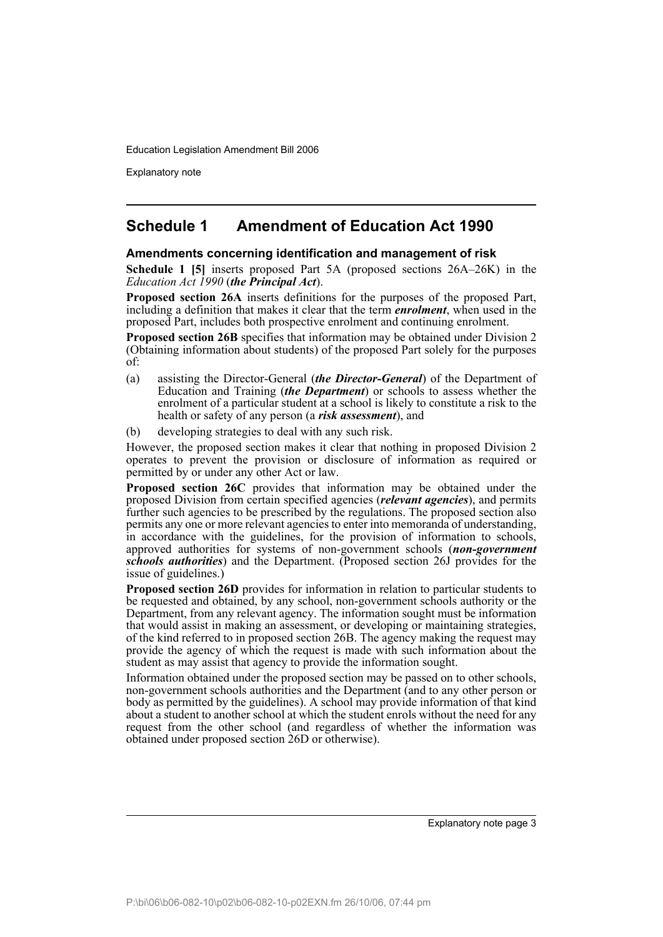Explanatory note

## **Schedule 1 Amendment of Education Act 1990**

#### **Amendments concerning identification and management of risk**

**Schedule 1 [5]** inserts proposed Part 5A (proposed sections 26A–26K) in the *Education Act 1990* (*the Principal Act*).

**Proposed section 26A** inserts definitions for the purposes of the proposed Part, including a definition that makes it clear that the term *enrolment*, when used in the proposed Part, includes both prospective enrolment and continuing enrolment.

**Proposed section 26B** specifies that information may be obtained under Division 2 (Obtaining information about students) of the proposed Part solely for the purposes of:

- (a) assisting the Director-General (*the Director-General*) of the Department of Education and Training (*the Department*) or schools to assess whether the enrolment of a particular student at a school is likely to constitute a risk to the health or safety of any person (a *risk assessment*), and
- (b) developing strategies to deal with any such risk.

However, the proposed section makes it clear that nothing in proposed Division 2 operates to prevent the provision or disclosure of information as required or permitted by or under any other Act or law.

**Proposed section 26C** provides that information may be obtained under the proposed Division from certain specified agencies (*relevant agencies*), and permits further such agencies to be prescribed by the regulations. The proposed section also permits any one or more relevant agencies to enter into memoranda of understanding, in accordance with the guidelines, for the provision of information to schools, approved authorities for systems of non-government schools (*non-government schools authorities*) and the Department. (Proposed section 26J provides for the issue of guidelines.)

**Proposed section 26D** provides for information in relation to particular students to be requested and obtained, by any school, non-government schools authority or the Department, from any relevant agency. The information sought must be information that would assist in making an assessment, or developing or maintaining strategies, of the kind referred to in proposed section 26B. The agency making the request may provide the agency of which the request is made with such information about the student as may assist that agency to provide the information sought.

Information obtained under the proposed section may be passed on to other schools, non-government schools authorities and the Department (and to any other person or body as permitted by the guidelines). A school may provide information of that kind about a student to another school at which the student enrols without the need for any request from the other school (and regardless of whether the information was obtained under proposed section 26D or otherwise).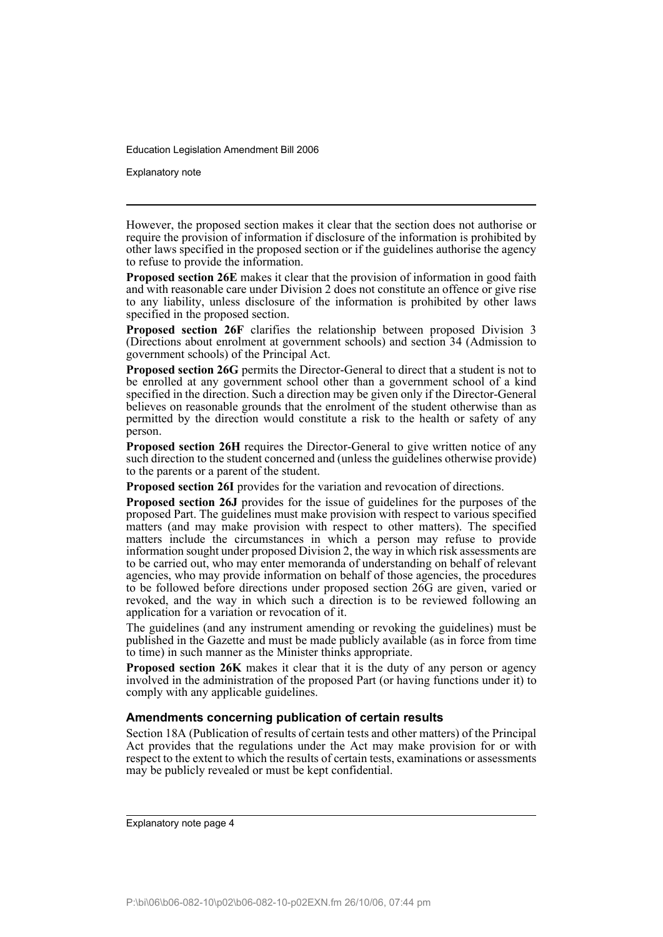Explanatory note

However, the proposed section makes it clear that the section does not authorise or require the provision of information if disclosure of the information is prohibited by other laws specified in the proposed section or if the guidelines authorise the agency to refuse to provide the information.

**Proposed section 26E** makes it clear that the provision of information in good faith and with reasonable care under Division 2 does not constitute an offence or give rise to any liability, unless disclosure of the information is prohibited by other laws specified in the proposed section.

**Proposed section 26F** clarifies the relationship between proposed Division 3 (Directions about enrolment at government schools) and section 34 (Admission to government schools) of the Principal Act.

**Proposed section 26G** permits the Director-General to direct that a student is not to be enrolled at any government school other than a government school of a kind specified in the direction. Such a direction may be given only if the Director-General believes on reasonable grounds that the enrolment of the student otherwise than as permitted by the direction would constitute a risk to the health or safety of any person.

**Proposed section 26H** requires the Director-General to give written notice of any such direction to the student concerned and (unless the guidelines otherwise provide) to the parents or a parent of the student.

**Proposed section 26I** provides for the variation and revocation of directions.

**Proposed section 26J** provides for the issue of guidelines for the purposes of the proposed Part. The guidelines must make provision with respect to various specified matters (and may make provision with respect to other matters). The specified matters include the circumstances in which a person may refuse to provide information sought under proposed Division 2, the way in which risk assessments are to be carried out, who may enter memoranda of understanding on behalf of relevant agencies, who may provide information on behalf of those agencies, the procedures to be followed before directions under proposed section 26G are given, varied or revoked, and the way in which such a direction is to be reviewed following an application for a variation or revocation of it.

The guidelines (and any instrument amending or revoking the guidelines) must be published in the Gazette and must be made publicly available (as in force from time to time) in such manner as the Minister thinks appropriate.

**Proposed section 26K** makes it clear that it is the duty of any person or agency involved in the administration of the proposed Part (or having functions under it) to comply with any applicable guidelines.

#### **Amendments concerning publication of certain results**

Section 18A (Publication of results of certain tests and other matters) of the Principal Act provides that the regulations under the Act may make provision for or with respect to the extent to which the results of certain tests, examinations or assessments may be publicly revealed or must be kept confidential.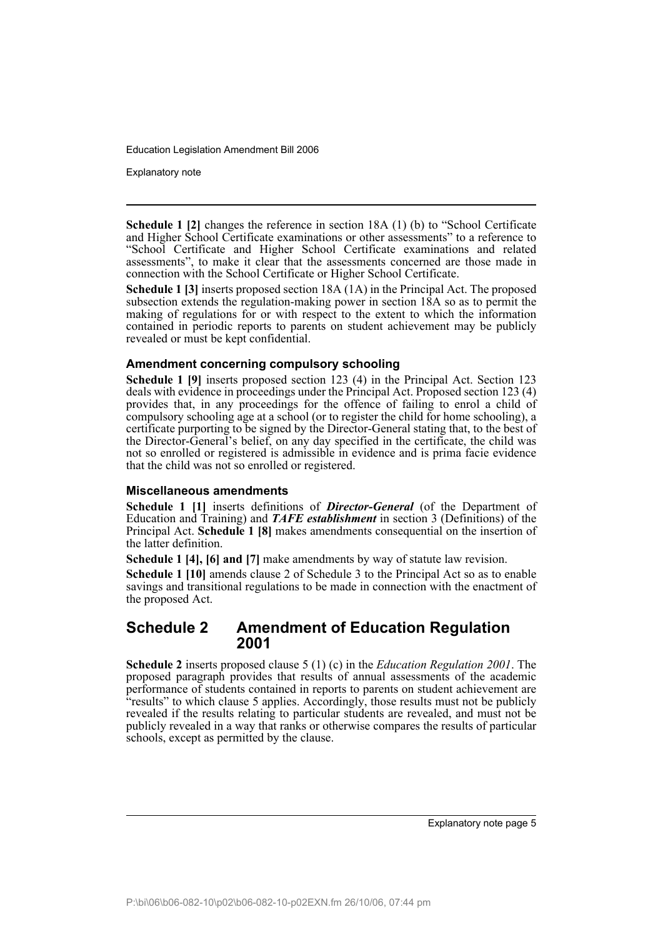Explanatory note

**Schedule 1 [2]** changes the reference in section 18A (1) (b) to "School Certificate and Higher School Certificate examinations or other assessments" to a reference to "School Certificate and Higher School Certificate examinations and related assessments", to make it clear that the assessments concerned are those made in connection with the School Certificate or Higher School Certificate.

**Schedule 1 [3]** inserts proposed section 18A (1A) in the Principal Act. The proposed subsection extends the regulation-making power in section 18A so as to permit the making of regulations for or with respect to the extent to which the information contained in periodic reports to parents on student achievement may be publicly revealed or must be kept confidential.

#### **Amendment concerning compulsory schooling**

**Schedule 1 [9]** inserts proposed section 123 (4) in the Principal Act. Section 123 deals with evidence in proceedings under the Principal Act. Proposed section 123 (4) provides that, in any proceedings for the offence of failing to enrol a child of compulsory schooling age at a school (or to register the child for home schooling), a certificate purporting to be signed by the Director-General stating that, to the best of the Director-General's belief, on any day specified in the certificate, the child was not so enrolled or registered is admissible in evidence and is prima facie evidence that the child was not so enrolled or registered.

#### **Miscellaneous amendments**

**Schedule 1 [1]** inserts definitions of *Director-General* (of the Department of Education and Training) and *TAFE establishment* in section 3 (Definitions) of the Principal Act. **Schedule 1 [8]** makes amendments consequential on the insertion of the latter definition.

**Schedule 1 [4], [6] and [7]** make amendments by way of statute law revision.

**Schedule 1 [10]** amends clause 2 of Schedule 3 to the Principal Act so as to enable savings and transitional regulations to be made in connection with the enactment of the proposed Act.

#### **Schedule 2 Amendment of Education Regulation 2001**

**Schedule 2** inserts proposed clause 5 (1) (c) in the *Education Regulation 2001*. The proposed paragraph provides that results of annual assessments of the academic performance of students contained in reports to parents on student achievement are "results" to which clause 5 applies. Accordingly, those results must not be publicly revealed if the results relating to particular students are revealed, and must not be publicly revealed in a way that ranks or otherwise compares the results of particular schools, except as permitted by the clause.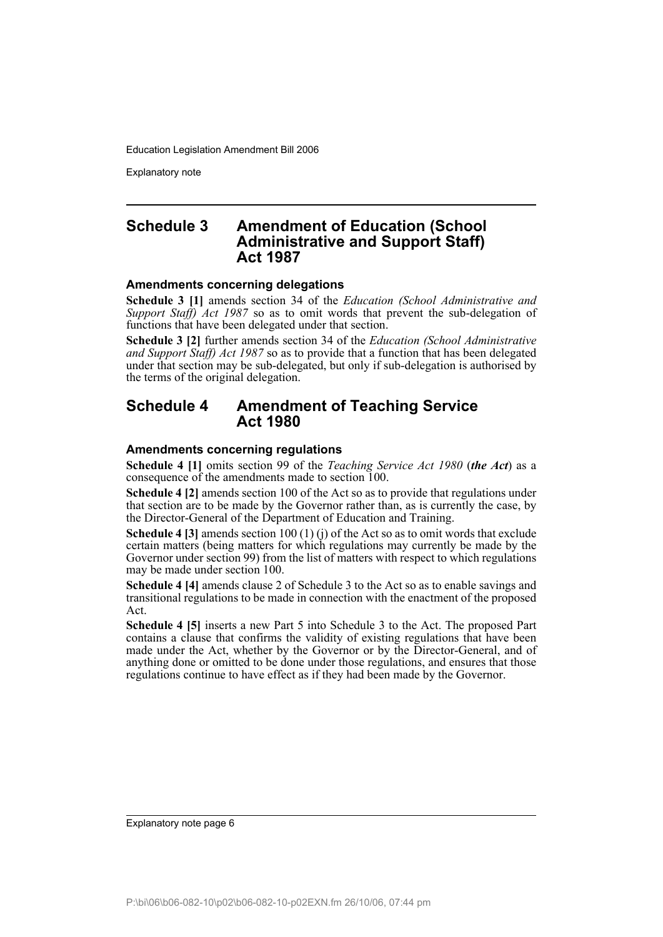Explanatory note

### **Schedule 3 Amendment of Education (School Administrative and Support Staff) Act 1987**

#### **Amendments concerning delegations**

**Schedule 3 [1]** amends section 34 of the *Education (School Administrative and Support Staff) Act 1987* so as to omit words that prevent the sub-delegation of functions that have been delegated under that section.

**Schedule 3 [2]** further amends section 34 of the *Education (School Administrative and Support Staff) Act 1987* so as to provide that a function that has been delegated under that section may be sub-delegated, but only if sub-delegation is authorised by the terms of the original delegation.

## **Schedule 4 Amendment of Teaching Service Act 1980**

#### **Amendments concerning regulations**

**Schedule 4 [1]** omits section 99 of the *Teaching Service Act 1980* (*the Act*) as a consequence of the amendments made to section 100.

**Schedule 4 [2]** amends section 100 of the Act so as to provide that regulations under that section are to be made by the Governor rather than, as is currently the case, by the Director-General of the Department of Education and Training.

**Schedule 4 [3]** amends section 100 (1) (j) of the Act so as to omit words that exclude certain matters (being matters for which regulations may currently be made by the Governor under section 99) from the list of matters with respect to which regulations may be made under section 100.

**Schedule 4 [4]** amends clause 2 of Schedule 3 to the Act so as to enable savings and transitional regulations to be made in connection with the enactment of the proposed Act.

**Schedule 4 [5]** inserts a new Part 5 into Schedule 3 to the Act. The proposed Part contains a clause that confirms the validity of existing regulations that have been made under the Act, whether by the Governor or by the Director-General, and of anything done or omitted to be done under those regulations, and ensures that those regulations continue to have effect as if they had been made by the Governor.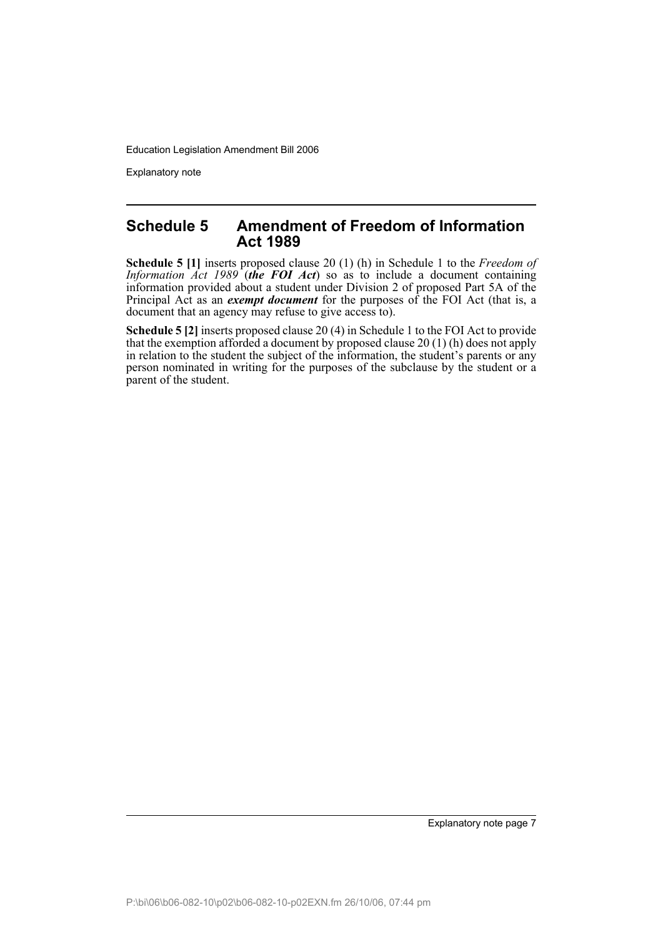Explanatory note

### **Schedule 5 Amendment of Freedom of Information Act 1989**

**Schedule 5 [1]** inserts proposed clause 20 (1) (h) in Schedule 1 to the *Freedom of Information Act 1989* (*the FOI Act*) so as to include a document containing information provided about a student under Division 2 of proposed Part 5A of the Principal Act as an *exempt document* for the purposes of the FOI Act (that is, a document that an agency may refuse to give access to).

**Schedule 5 [2]** inserts proposed clause 20 (4) in Schedule 1 to the FOI Act to provide that the exemption afforded a document by proposed clause 20 (1) (h) does not apply in relation to the student the subject of the information, the student's parents or any person nominated in writing for the purposes of the subclause by the student or a parent of the student.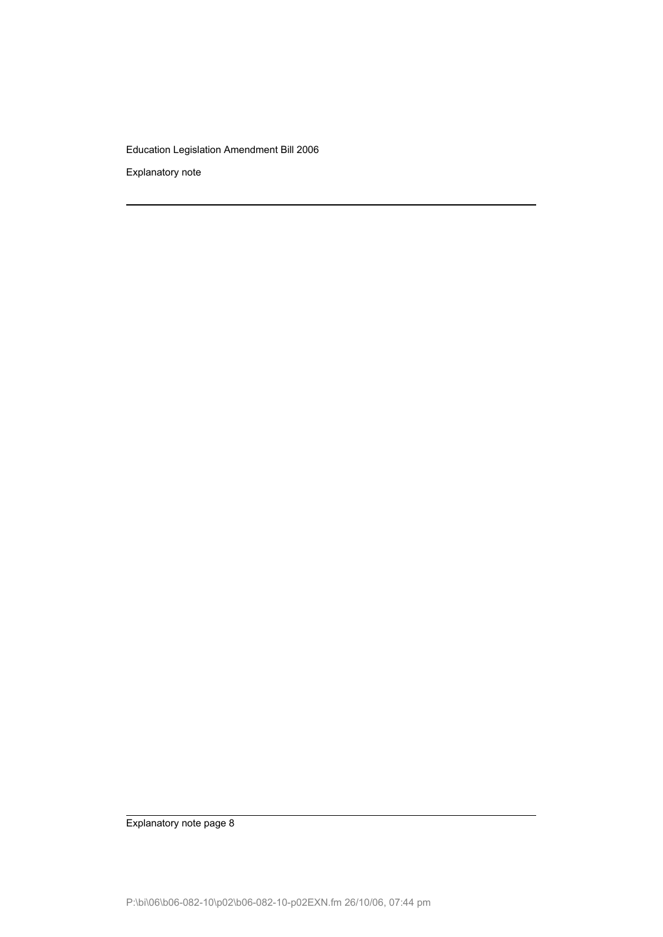Explanatory note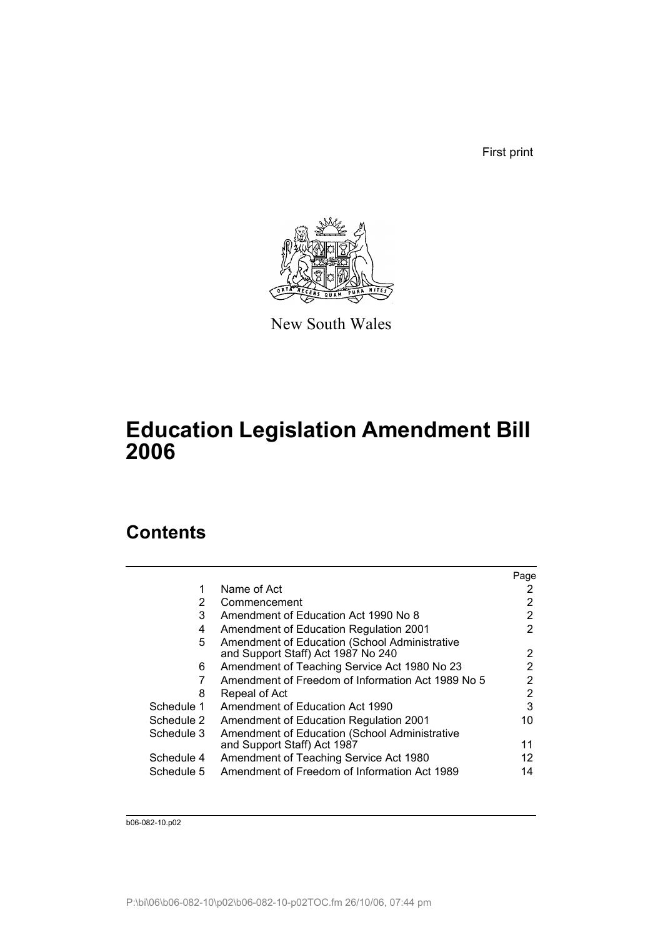First print



New South Wales

# **Education Legislation Amendment Bill 2006**

# **Contents**

|            |                                                                                     | Page |
|------------|-------------------------------------------------------------------------------------|------|
|            | Name of Act                                                                         | 2    |
| 2          | Commencement                                                                        | 2    |
| 3          | Amendment of Education Act 1990 No 8                                                | 2    |
| 4          | Amendment of Education Regulation 2001                                              | 2    |
| 5          | Amendment of Education (School Administrative<br>and Support Staff) Act 1987 No 240 | 2    |
| 6          | Amendment of Teaching Service Act 1980 No 23                                        | 2    |
|            | Amendment of Freedom of Information Act 1989 No 5                                   | 2    |
| 8          | Repeal of Act                                                                       | 2    |
| Schedule 1 | Amendment of Education Act 1990                                                     | 3    |
| Schedule 2 | Amendment of Education Regulation 2001                                              | 10   |
| Schedule 3 | Amendment of Education (School Administrative                                       |      |
|            | and Support Staff) Act 1987                                                         | 11   |
| Schedule 4 | Amendment of Teaching Service Act 1980                                              | 12   |
| Schedule 5 | Amendment of Freedom of Information Act 1989                                        | 14   |
|            |                                                                                     |      |

b06-082-10.p02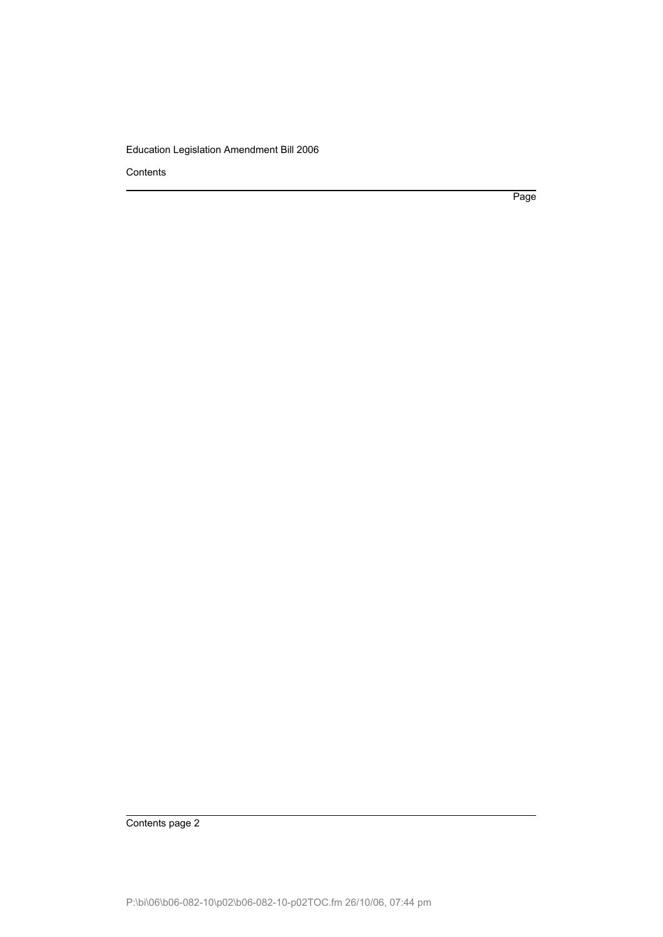Contents

Page

Contents page 2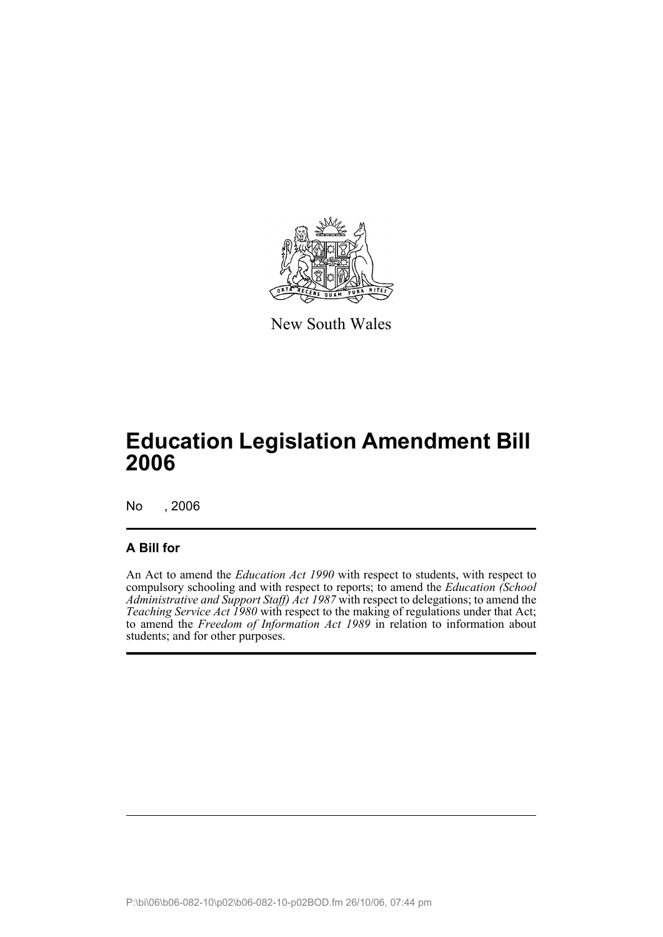

New South Wales

# **Education Legislation Amendment Bill 2006**

No , 2006

### **A Bill for**

An Act to amend the *Education Act 1990* with respect to students, with respect to compulsory schooling and with respect to reports; to amend the *Education (School Administrative and Support Staff) Act 1987* with respect to delegations; to amend the *Teaching Service Act 1980* with respect to the making of regulations under that Act; to amend the *Freedom of Information Act 1989* in relation to information about students; and for other purposes.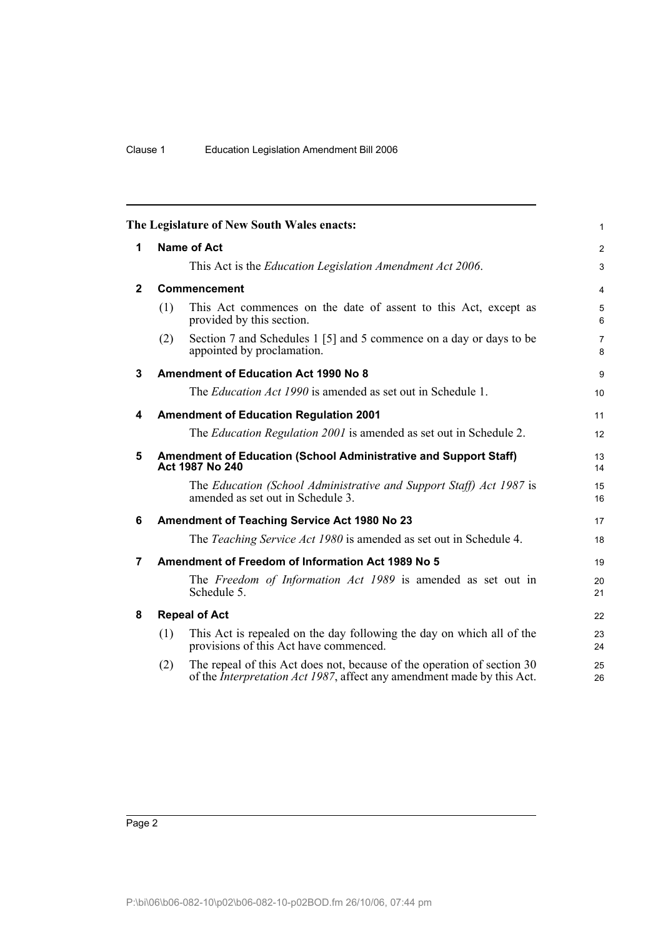<span id="page-11-7"></span><span id="page-11-6"></span><span id="page-11-5"></span><span id="page-11-4"></span><span id="page-11-3"></span><span id="page-11-2"></span><span id="page-11-1"></span><span id="page-11-0"></span>

|              |     | The Legislature of New South Wales enacts:                                                                                                                | $\mathbf{1}$        |
|--------------|-----|-----------------------------------------------------------------------------------------------------------------------------------------------------------|---------------------|
| 1            |     | <b>Name of Act</b>                                                                                                                                        | $\overline{2}$      |
|              |     | This Act is the Education Legislation Amendment Act 2006.                                                                                                 | 3                   |
| $\mathbf{2}$ |     | Commencement                                                                                                                                              | $\overline{4}$      |
|              | (1) | This Act commences on the date of assent to this Act, except as<br>provided by this section.                                                              | $\sqrt{5}$<br>6     |
|              | (2) | Section 7 and Schedules 1 [5] and 5 commence on a day or days to be<br>appointed by proclamation.                                                         | $\overline{7}$<br>8 |
| 3            |     | <b>Amendment of Education Act 1990 No 8</b>                                                                                                               | 9                   |
|              |     | The <i>Education Act 1990</i> is amended as set out in Schedule 1.                                                                                        | 10                  |
| 4            |     | <b>Amendment of Education Regulation 2001</b>                                                                                                             | 11                  |
|              |     | The <i>Education Regulation 2001</i> is amended as set out in Schedule 2.                                                                                 | 12                  |
| 5            |     | Amendment of Education (School Administrative and Support Staff)<br>Act 1987 No 240                                                                       | 13<br>14            |
|              |     | The Education (School Administrative and Support Staff) Act 1987 is<br>amended as set out in Schedule 3.                                                  | 15<br>16            |
| 6            |     | <b>Amendment of Teaching Service Act 1980 No 23</b>                                                                                                       | 17                  |
|              |     | The Teaching Service Act 1980 is amended as set out in Schedule 4.                                                                                        | 18                  |
| 7            |     | Amendment of Freedom of Information Act 1989 No 5                                                                                                         | 19                  |
|              |     | The Freedom of Information Act 1989 is amended as set out in<br>Schedule 5.                                                                               | 20<br>21            |
| 8            |     | <b>Repeal of Act</b>                                                                                                                                      | 22                  |
|              | (1) | This Act is repealed on the day following the day on which all of the<br>provisions of this Act have commenced.                                           | 23<br>24            |
|              | (2) | The repeal of this Act does not, because of the operation of section 30<br>of the <i>Interpretation Act 1987</i> , affect any amendment made by this Act. | 25<br>26            |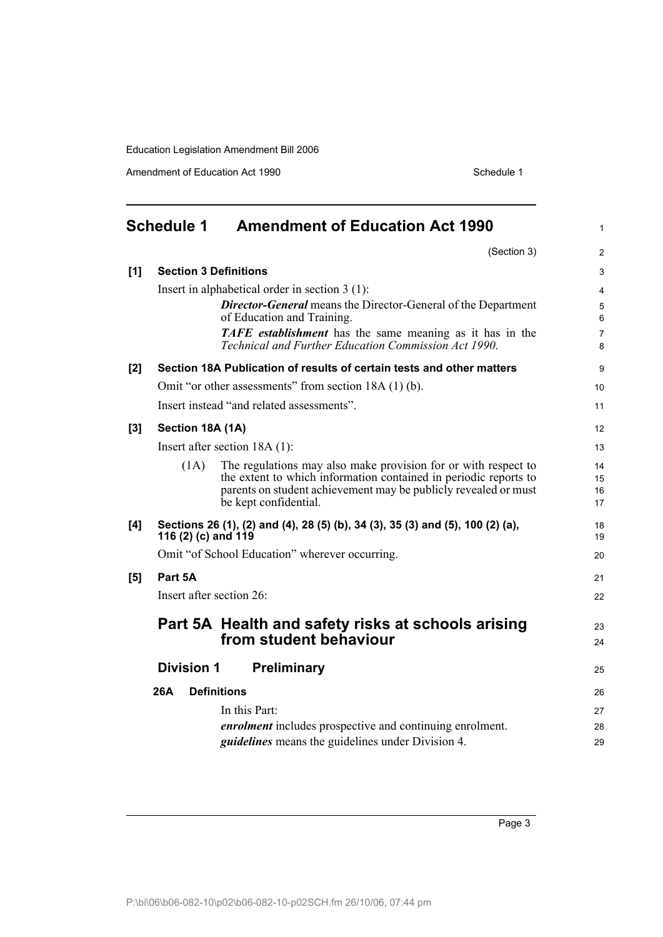Amendment of Education Act 1990 Schedule 1

<span id="page-12-0"></span>

|       | <b>Schedule 1</b>            | <b>Amendment of Education Act 1990</b>                                                                                              | $\mathbf{1}$        |  |  |
|-------|------------------------------|-------------------------------------------------------------------------------------------------------------------------------------|---------------------|--|--|
|       |                              | (Section 3)                                                                                                                         | 2                   |  |  |
| [1]   | <b>Section 3 Definitions</b> |                                                                                                                                     | 3                   |  |  |
|       |                              | Insert in alphabetical order in section $3(1)$ :                                                                                    | $\overline{4}$      |  |  |
|       |                              | <b>Director-General</b> means the Director-General of the Department<br>of Education and Training.                                  | 5                   |  |  |
|       |                              | <b>TAFE</b> establishment has the same meaning as it has in the                                                                     | 6<br>$\overline{7}$ |  |  |
|       |                              | Technical and Further Education Commission Act 1990.                                                                                | 8                   |  |  |
| [2]   |                              | Section 18A Publication of results of certain tests and other matters                                                               | 9                   |  |  |
|       |                              | Omit "or other assessments" from section 18A (1) (b).                                                                               | 10 <sup>1</sup>     |  |  |
|       |                              | Insert instead "and related assessments".                                                                                           | 11                  |  |  |
| $[3]$ | Section 18A (1A)             |                                                                                                                                     |                     |  |  |
|       |                              | Insert after section $18A(1)$ :                                                                                                     | 13                  |  |  |
|       | (1A)                         | The regulations may also make provision for or with respect to                                                                      | 14                  |  |  |
|       |                              | the extent to which information contained in periodic reports to<br>parents on student achievement may be publicly revealed or must | 15<br>16            |  |  |
|       |                              | be kept confidential.                                                                                                               | 17                  |  |  |
| [4]   | 116 (2) (c) and 119          | Sections 26 (1), (2) and (4), 28 (5) (b), 34 (3), 35 (3) and (5), 100 (2) (a),                                                      | 18<br>19            |  |  |
|       |                              | Omit "of School Education" wherever occurring.                                                                                      | 20                  |  |  |
| [5]   | Part 5A                      |                                                                                                                                     | 21                  |  |  |
|       | Insert after section 26:     |                                                                                                                                     | 22                  |  |  |
|       |                              | Part 5A Health and safety risks at schools arising                                                                                  | 23                  |  |  |
|       |                              | from student behaviour                                                                                                              | 24                  |  |  |
|       | <b>Division 1</b>            | <b>Preliminary</b>                                                                                                                  | 25                  |  |  |
|       | 26A                          | <b>Definitions</b>                                                                                                                  | 26                  |  |  |
|       |                              | In this Part:                                                                                                                       | 27                  |  |  |
|       |                              | <i>enrolment</i> includes prospective and continuing enrolment.                                                                     | 28                  |  |  |
|       |                              | <i>guidelines</i> means the guidelines under Division 4.                                                                            | 29                  |  |  |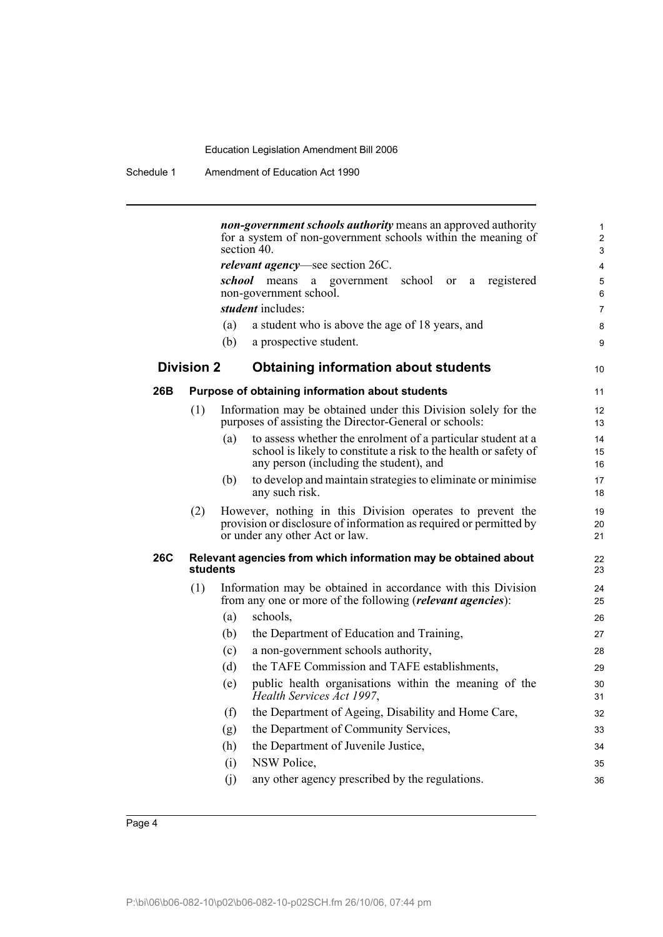Schedule 1 Amendment of Education Act 1990

|     |                   |          | <b>non-government schools authority</b> means an approved authority<br>for a system of non-government schools within the meaning of<br>section 40.                          | $\mathbf{1}$<br>$\overline{2}$<br>3 |
|-----|-------------------|----------|-----------------------------------------------------------------------------------------------------------------------------------------------------------------------------|-------------------------------------|
|     |                   |          | <i>relevant agency</i> —see section 26C.                                                                                                                                    | 4                                   |
|     |                   | school   | school<br>means<br>or a registered<br>government<br>a<br>non-government school.                                                                                             | 5<br>6                              |
|     |                   |          | student includes:                                                                                                                                                           | $\overline{7}$                      |
|     |                   | (a)      | a student who is above the age of 18 years, and                                                                                                                             | 8                                   |
|     |                   | (b)      | a prospective student.                                                                                                                                                      | 9                                   |
|     | <b>Division 2</b> |          | <b>Obtaining information about students</b>                                                                                                                                 | 10                                  |
| 26B |                   |          | Purpose of obtaining information about students                                                                                                                             | 11                                  |
|     | (1)               |          | Information may be obtained under this Division solely for the<br>purposes of assisting the Director-General or schools:                                                    | 12<br>13                            |
|     |                   | (a)      | to assess whether the enrolment of a particular student at a<br>school is likely to constitute a risk to the health or safety of<br>any person (including the student), and | 14<br>15<br>16                      |
|     |                   | (b)      | to develop and maintain strategies to eliminate or minimise<br>any such risk.                                                                                               | 17<br>18                            |
|     | (2)               |          | However, nothing in this Division operates to prevent the<br>provision or disclosure of information as required or permitted by<br>or under any other Act or law.           | 19<br>20<br>21                      |
| 26C |                   | students | Relevant agencies from which information may be obtained about                                                                                                              | 22<br>23                            |
|     | (1)               |          | Information may be obtained in accordance with this Division<br>from any one or more of the following ( <i>relevant agencies</i> ):                                         | 24<br>25                            |
|     |                   | (a)      | schools,                                                                                                                                                                    | 26                                  |
|     |                   | (b)      | the Department of Education and Training,                                                                                                                                   | 27                                  |
|     |                   | (c)      | a non-government schools authority,                                                                                                                                         | 28                                  |
|     |                   | (d)      | the TAFE Commission and TAFE establishments,                                                                                                                                | 29                                  |
|     |                   | (e)      | public health organisations within the meaning of the<br>Health Services Act 1997,                                                                                          | 30<br>31                            |
|     |                   | (f)      | the Department of Ageing, Disability and Home Care,                                                                                                                         | 32                                  |
|     |                   | (g)      | the Department of Community Services,                                                                                                                                       | 33                                  |
|     |                   | (h)      | the Department of Juvenile Justice,                                                                                                                                         | 34                                  |
|     |                   | (i)      | NSW Police,                                                                                                                                                                 | 35                                  |
|     |                   | (j)      | any other agency prescribed by the regulations.                                                                                                                             | 36                                  |
|     |                   |          |                                                                                                                                                                             |                                     |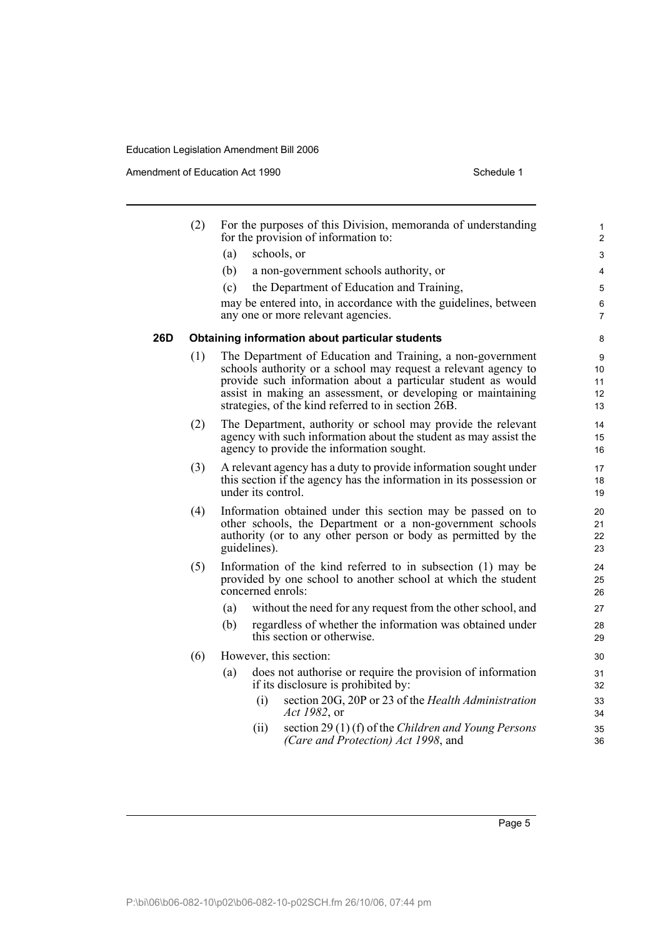Amendment of Education Act 1990 Schedule 1

|     | (2) | For the purposes of this Division, memoranda of understanding<br>for the provision of information to:                                                                                                                                                                                                               | 1<br>$\overline{2}$                    |
|-----|-----|---------------------------------------------------------------------------------------------------------------------------------------------------------------------------------------------------------------------------------------------------------------------------------------------------------------------|----------------------------------------|
|     |     | schools, or<br>(a)                                                                                                                                                                                                                                                                                                  | 3                                      |
|     |     | (b)<br>a non-government schools authority, or                                                                                                                                                                                                                                                                       | 4                                      |
|     |     | the Department of Education and Training,<br>(c)                                                                                                                                                                                                                                                                    | 5                                      |
|     |     | may be entered into, in accordance with the guidelines, between<br>any one or more relevant agencies.                                                                                                                                                                                                               | 6<br>$\overline{7}$                    |
| 26D |     | Obtaining information about particular students                                                                                                                                                                                                                                                                     | 8                                      |
|     | (1) | The Department of Education and Training, a non-government<br>schools authority or a school may request a relevant agency to<br>provide such information about a particular student as would<br>assist in making an assessment, or developing or maintaining<br>strategies, of the kind referred to in section 26B. | 9<br>10<br>11<br>12 <sup>2</sup><br>13 |
|     | (2) | The Department, authority or school may provide the relevant<br>agency with such information about the student as may assist the<br>agency to provide the information sought.                                                                                                                                       | 14<br>15<br>16                         |
|     | (3) | A relevant agency has a duty to provide information sought under<br>this section if the agency has the information in its possession or<br>under its control.                                                                                                                                                       | 17<br>18<br>19                         |
|     | (4) | Information obtained under this section may be passed on to<br>other schools, the Department or a non-government schools<br>authority (or to any other person or body as permitted by the<br>guidelines).                                                                                                           | 20<br>21<br>22<br>23                   |
|     | (5) | Information of the kind referred to in subsection (1) may be<br>provided by one school to another school at which the student<br>concerned enrols:                                                                                                                                                                  | 24<br>25<br>26                         |
|     |     | without the need for any request from the other school, and<br>(a)                                                                                                                                                                                                                                                  | 27                                     |
|     |     | regardless of whether the information was obtained under<br>(b)<br>this section or otherwise.                                                                                                                                                                                                                       | 28<br>29                               |
|     | (6) | However, this section:                                                                                                                                                                                                                                                                                              | 30                                     |
|     |     | does not authorise or require the provision of information<br>(a)<br>if its disclosure is prohibited by:                                                                                                                                                                                                            | 31<br>32                               |
|     |     | section 20G, 20P or 23 of the Health Administration<br>(i)<br><i>Act 1982</i> , or                                                                                                                                                                                                                                  | 33<br>34                               |
|     |     | section 29 (1) (f) of the Children and Young Persons<br>(ii)<br>(Care and Protection) Act 1998, and                                                                                                                                                                                                                 | 35<br>36                               |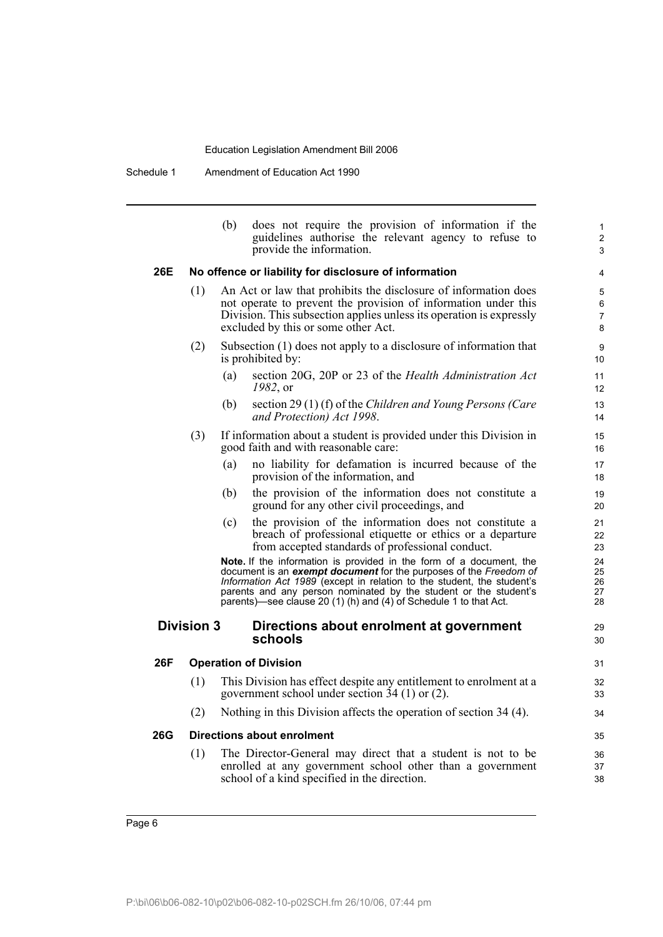Schedule 1 Amendment of Education Act 1990

|            |                   | does not require the provision of information if the<br>(b)<br>guidelines authorise the relevant agency to refuse to<br>provide the information.                                                                                                                                                                                                            | 1<br>$\overline{2}$<br>$\mathsf 3$ |
|------------|-------------------|-------------------------------------------------------------------------------------------------------------------------------------------------------------------------------------------------------------------------------------------------------------------------------------------------------------------------------------------------------------|------------------------------------|
| 26E        |                   | No offence or liability for disclosure of information                                                                                                                                                                                                                                                                                                       | 4                                  |
|            | (1)               | An Act or law that prohibits the disclosure of information does<br>not operate to prevent the provision of information under this<br>Division. This subsection applies unless its operation is expressly<br>excluded by this or some other Act.                                                                                                             | 5<br>6<br>$\overline{7}$<br>8      |
|            | (2)               | Subsection (1) does not apply to a disclosure of information that<br>is prohibited by:                                                                                                                                                                                                                                                                      | 9<br>10                            |
|            |                   | section 20G, 20P or 23 of the Health Administration Act<br>(a)<br>1982, or                                                                                                                                                                                                                                                                                  | 11<br>$12 \overline{ }$            |
|            |                   | section 29 (1) (f) of the Children and Young Persons (Care<br>(b)<br>and Protection) Act 1998.                                                                                                                                                                                                                                                              | 13<br>14                           |
|            | (3)               | If information about a student is provided under this Division in<br>good faith and with reasonable care:                                                                                                                                                                                                                                                   | 15<br>16                           |
|            |                   | (a)<br>no liability for defamation is incurred because of the<br>provision of the information, and                                                                                                                                                                                                                                                          | 17<br>18                           |
|            |                   | the provision of the information does not constitute a<br>(b)<br>ground for any other civil proceedings, and                                                                                                                                                                                                                                                | 19<br>20                           |
|            |                   | the provision of the information does not constitute a<br>(c)<br>breach of professional etiquette or ethics or a departure<br>from accepted standards of professional conduct.                                                                                                                                                                              | 21<br>22<br>23                     |
|            |                   | Note. If the information is provided in the form of a document, the<br>document is an exempt document for the purposes of the Freedom of<br>Information Act 1989 (except in relation to the student, the student's<br>parents and any person nominated by the student or the student's<br>parents)—see clause 20 (1) (h) and (4) of Schedule 1 to that Act. | 24<br>25<br>26<br>27<br>28         |
|            | <b>Division 3</b> | Directions about enrolment at government<br>schools                                                                                                                                                                                                                                                                                                         | 29<br>30                           |
| 26F        |                   | <b>Operation of Division</b>                                                                                                                                                                                                                                                                                                                                | 31                                 |
|            | (1)               | This Division has effect despite any entitlement to enrolment at a<br>government school under section 34 $(1)$ or $(2)$ .                                                                                                                                                                                                                                   | 32<br>33                           |
|            |                   | (2) Nothing in this Division affects the operation of section 34 (4).                                                                                                                                                                                                                                                                                       | 34                                 |
| <b>26G</b> |                   | <b>Directions about enrolment</b>                                                                                                                                                                                                                                                                                                                           | 35                                 |
|            | (1)               | The Director-General may direct that a student is not to be<br>enrolled at any government school other than a government<br>school of a kind specified in the direction.                                                                                                                                                                                    | 36<br>37<br>38                     |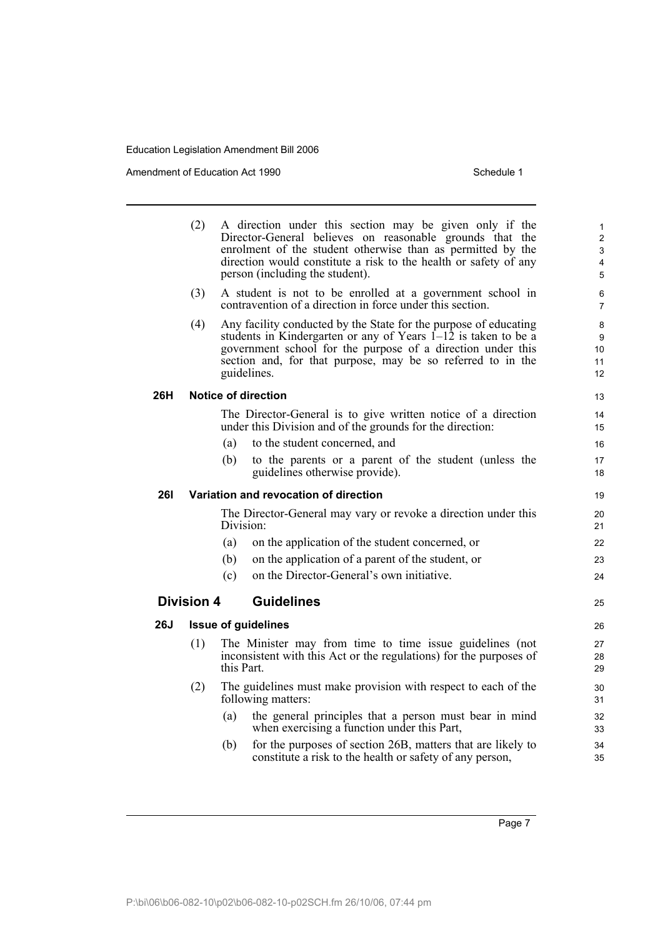Amendment of Education Act 1990 Schedule 1

|     | (2)               |                            | A direction under this section may be given only if the<br>Director-General believes on reasonable grounds that the<br>enrolment of the student otherwise than as permitted by the<br>direction would constitute a risk to the health or safety of any<br>person (including the student). | $\mathbf{1}$<br>$\overline{2}$<br>3<br>4<br>5 |
|-----|-------------------|----------------------------|-------------------------------------------------------------------------------------------------------------------------------------------------------------------------------------------------------------------------------------------------------------------------------------------|-----------------------------------------------|
|     | (3)               |                            | A student is not to be enrolled at a government school in<br>contravention of a direction in force under this section.                                                                                                                                                                    | 6<br>$\overline{7}$                           |
|     | (4)               | guidelines.                | Any facility conducted by the State for the purpose of educating<br>students in Kindergarten or any of Years $\overline{1}$ -12 is taken to be a<br>government school for the purpose of a direction under this<br>section and, for that purpose, may be so referred to in the            | 8<br>9<br>10<br>11<br>12                      |
| 26H |                   | <b>Notice of direction</b> |                                                                                                                                                                                                                                                                                           | 13                                            |
|     |                   |                            | The Director-General is to give written notice of a direction<br>under this Division and of the grounds for the direction:                                                                                                                                                                | 14<br>15                                      |
|     |                   | (a)                        | to the student concerned, and                                                                                                                                                                                                                                                             | 16                                            |
|     |                   | (b)                        | to the parents or a parent of the student (unless the<br>guidelines otherwise provide).                                                                                                                                                                                                   | 17<br>18                                      |
| 26I |                   |                            | Variation and revocation of direction                                                                                                                                                                                                                                                     | 19                                            |
|     |                   | Division:                  | The Director-General may vary or revoke a direction under this                                                                                                                                                                                                                            | 20<br>21                                      |
|     |                   | (a)                        | on the application of the student concerned, or                                                                                                                                                                                                                                           | 22                                            |
|     |                   | (b)                        | on the application of a parent of the student, or                                                                                                                                                                                                                                         | 23                                            |
|     |                   | (c)                        | on the Director-General's own initiative.                                                                                                                                                                                                                                                 | 24                                            |
|     | <b>Division 4</b> |                            | <b>Guidelines</b>                                                                                                                                                                                                                                                                         | 25                                            |
| 26J |                   | <b>Issue of guidelines</b> |                                                                                                                                                                                                                                                                                           | 26                                            |
|     | (1)               | this Part.                 | The Minister may from time to time issue guidelines (not<br>inconsistent with this Act or the regulations) for the purposes of                                                                                                                                                            | 27<br>28<br>29                                |
|     | (2)               | following matters:         | The guidelines must make provision with respect to each of the                                                                                                                                                                                                                            | 30<br>31                                      |
|     |                   | (a)                        | the general principles that a person must bear in mind<br>when exercising a function under this Part,                                                                                                                                                                                     | 32<br>33                                      |
|     |                   | (b)                        | for the purposes of section 26B, matters that are likely to<br>constitute a risk to the health or safety of any person,                                                                                                                                                                   | 34<br>35                                      |
|     |                   |                            |                                                                                                                                                                                                                                                                                           |                                               |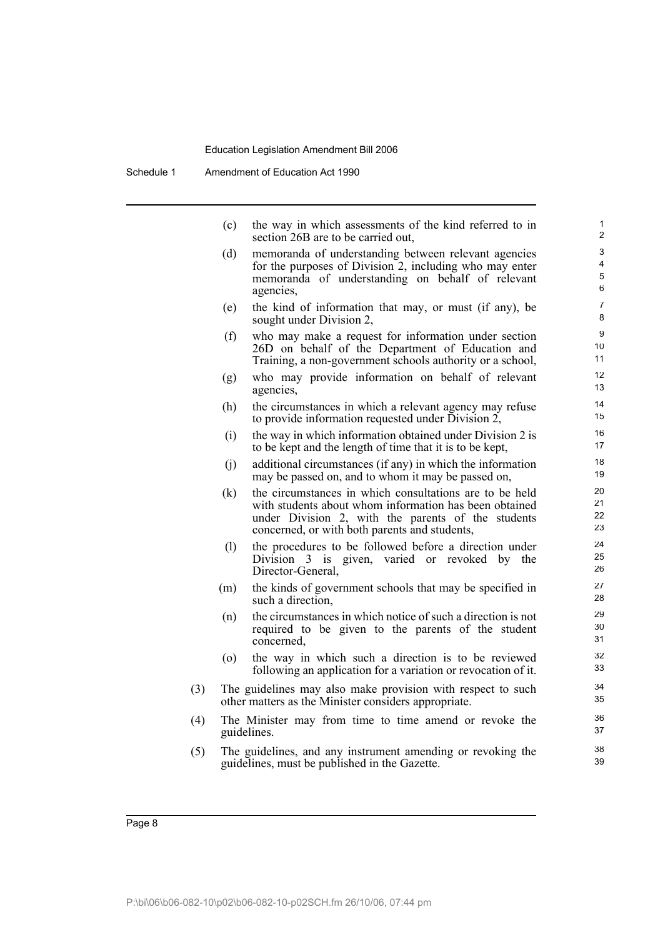| (c)               | the way in which assessments of the kind referred to in<br>section 26B are to be carried out, |  |  |  |  |
|-------------------|-----------------------------------------------------------------------------------------------|--|--|--|--|
| $\sim$ 4 $\times$ |                                                                                               |  |  |  |  |

- (d) memoranda of understanding between relevant agencies for the purposes of Division 2, including who may enter memoranda of understanding on behalf of relevant agencies,
- (e) the kind of information that may, or must (if any), be sought under Division 2,
- (f) who may make a request for information under section 26D on behalf of the Department of Education and Training, a non-government schools authority or a school,
- (g) who may provide information on behalf of relevant agencies,
- (h) the circumstances in which a relevant agency may refuse to provide information requested under Division 2,
- (i) the way in which information obtained under Division 2 is to be kept and the length of time that it is to be kept,
- (j) additional circumstances (if any) in which the information may be passed on, and to whom it may be passed on,
- (k) the circumstances in which consultations are to be held with students about whom information has been obtained under Division 2, with the parents of the students concerned, or with both parents and students,
- (l) the procedures to be followed before a direction under Division 3 is given, varied or revoked by the Director-General,
- (m) the kinds of government schools that may be specified in such a direction,
- (n) the circumstances in which notice of such a direction is not required to be given to the parents of the student concerned,
- (o) the way in which such a direction is to be reviewed following an application for a variation or revocation of it.
- (3) The guidelines may also make provision with respect to such other matters as the Minister considers appropriate.
- (4) The Minister may from time to time amend or revoke the guidelines.
- (5) The guidelines, and any instrument amending or revoking the guidelines, must be published in the Gazette.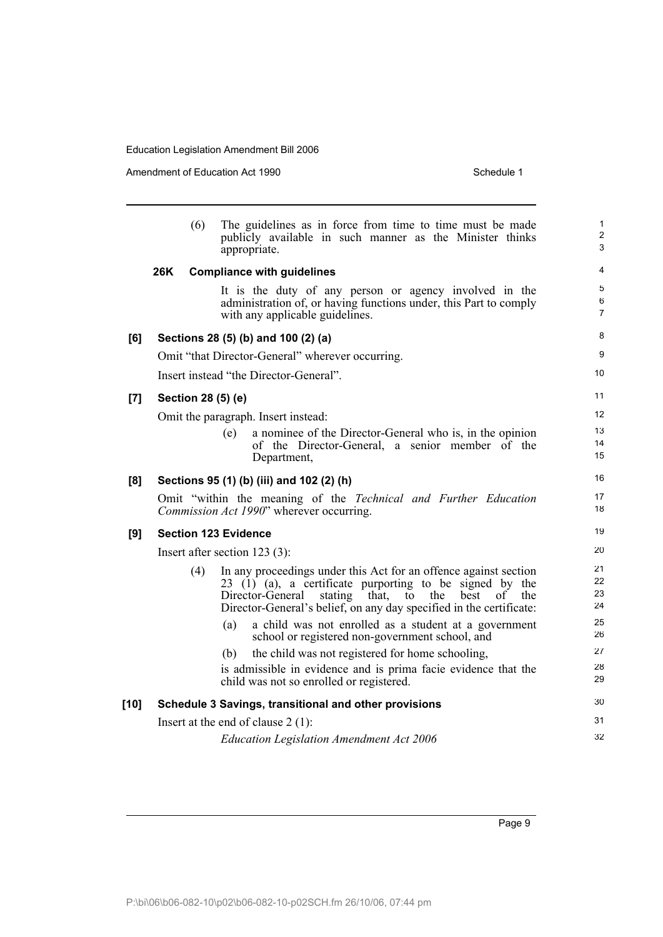Amendment of Education Act 1990 Schedule 1

|      |     | (6) | The guidelines as in force from time to time must be made<br>publicly available in such manner as the Minister thinks<br>appropriate.                                                                                                                                        | 1<br>$\overline{c}$<br>3 |
|------|-----|-----|------------------------------------------------------------------------------------------------------------------------------------------------------------------------------------------------------------------------------------------------------------------------------|--------------------------|
|      | 26K |     | <b>Compliance with guidelines</b>                                                                                                                                                                                                                                            | 4                        |
|      |     |     | It is the duty of any person or agency involved in the<br>administration of, or having functions under, this Part to comply<br>with any applicable guidelines.                                                                                                               | 5<br>6<br>7              |
| [6]  |     |     | Sections 28 (5) (b) and 100 (2) (a)                                                                                                                                                                                                                                          | 8                        |
|      |     |     | Omit "that Director-General" wherever occurring.                                                                                                                                                                                                                             | 9                        |
|      |     |     | Insert instead "the Director-General".                                                                                                                                                                                                                                       | 10                       |
| [7]  |     |     | Section 28 (5) (e)                                                                                                                                                                                                                                                           | 11                       |
|      |     |     | Omit the paragraph. Insert instead:                                                                                                                                                                                                                                          | 12                       |
|      |     |     | a nominee of the Director-General who is, in the opinion<br>(e)<br>of the Director-General, a senior member of the<br>Department,                                                                                                                                            | 13<br>14<br>15           |
| [8]  |     |     | Sections 95 (1) (b) (iii) and 102 (2) (h)                                                                                                                                                                                                                                    | 16                       |
|      |     |     | Omit "within the meaning of the Technical and Further Education<br>Commission Act 1990" wherever occurring.                                                                                                                                                                  | 17<br>18                 |
| [9]  |     |     | <b>Section 123 Evidence</b>                                                                                                                                                                                                                                                  | 19                       |
|      |     |     | Insert after section $123$ (3):                                                                                                                                                                                                                                              | 20                       |
|      |     | (4) | In any proceedings under this Act for an offence against section<br>$23$ (1) (a), a certificate purporting to be signed by the<br>stating that,<br>Director-General<br>the<br>best<br>of<br>the<br>to<br>Director-General's belief, on any day specified in the certificate: | 21<br>22<br>23<br>24     |
|      |     |     | a child was not enrolled as a student at a government<br>(a)<br>school or registered non-government school, and                                                                                                                                                              | 25<br>26                 |
|      |     |     | the child was not registered for home schooling,<br>(b)                                                                                                                                                                                                                      | 27                       |
|      |     |     | is admissible in evidence and is prima facie evidence that the<br>child was not so enrolled or registered.                                                                                                                                                                   | 28<br>29                 |
| [10] |     |     | Schedule 3 Savings, transitional and other provisions                                                                                                                                                                                                                        | 30                       |
|      |     |     | Insert at the end of clause $2(1)$ :                                                                                                                                                                                                                                         | 31                       |
|      |     |     | <b>Education Legislation Amendment Act 2006</b>                                                                                                                                                                                                                              | 32                       |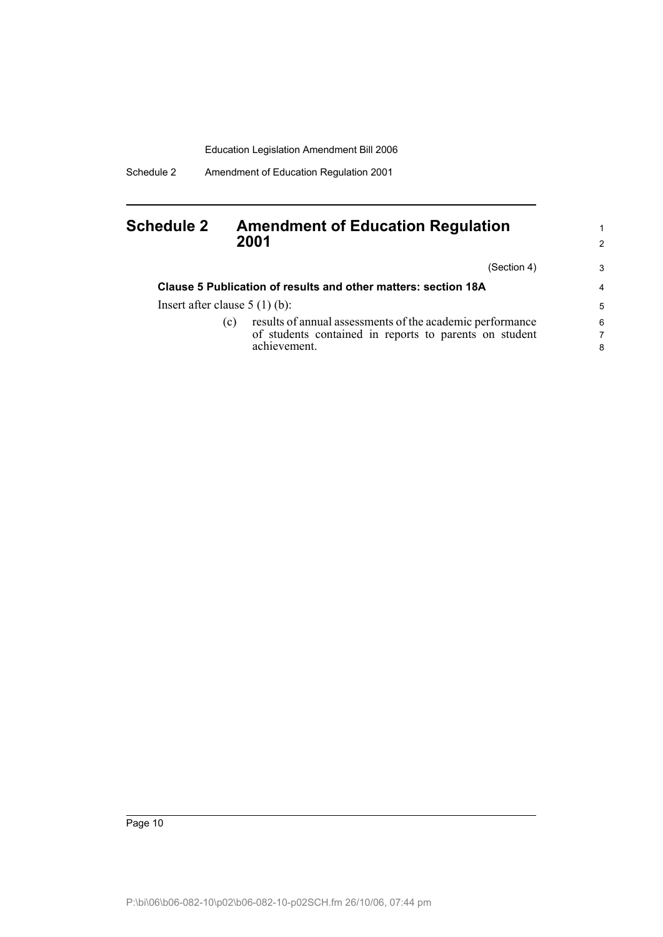Schedule 2 Amendment of Education Regulation 2001

## <span id="page-19-0"></span>**Schedule 2 Amendment of Education Regulation 2001**

(Section 4)

1 2

|                                 | Clause 5 Publication of results and other matters: section 18A                                                                      |
|---------------------------------|-------------------------------------------------------------------------------------------------------------------------------------|
| Insert after clause $5(1)(b)$ : |                                                                                                                                     |
| (c)                             | results of annual assessments of the academic performance<br>of students contained in reports to parents on student<br>achievement. |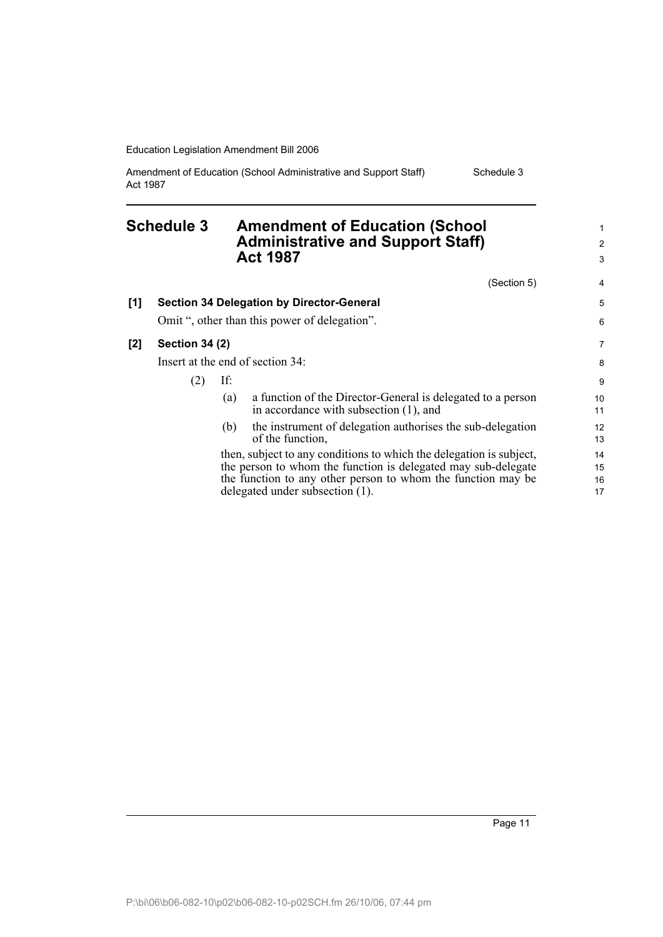Amendment of Education (School Administrative and Support Staff) Act 1987

## <span id="page-20-0"></span>**Schedule 3 Amendment of Education (School Administrative and Support Staff) Act 1987**

(Section 5)

1 2 3

4

Schedule 3

| $[1]$ |                                               |     | <b>Section 34 Delegation by Director-General</b>                                                                                                                                                                                        | 5                       |  |  |
|-------|-----------------------------------------------|-----|-----------------------------------------------------------------------------------------------------------------------------------------------------------------------------------------------------------------------------------------|-------------------------|--|--|
|       | Omit ", other than this power of delegation". |     |                                                                                                                                                                                                                                         |                         |  |  |
| [2]   | <b>Section 34 (2)</b>                         |     |                                                                                                                                                                                                                                         | 7                       |  |  |
|       | Insert at the end of section 34:              |     |                                                                                                                                                                                                                                         |                         |  |  |
|       | (2)                                           | If: |                                                                                                                                                                                                                                         | 9                       |  |  |
|       |                                               | (a) | a function of the Director-General is delegated to a person<br>in accordance with subsection (1), and                                                                                                                                   | 10<br>11                |  |  |
|       |                                               | (b) | the instrument of delegation authorises the sub-delegation<br>of the function,                                                                                                                                                          | $12 \overline{ }$<br>13 |  |  |
|       |                                               |     | then, subject to any conditions to which the delegation is subject,<br>the person to whom the function is delegated may sub-delegate<br>the function to any other person to whom the function may be<br>delegated under subsection (1). | 14<br>15<br>16<br>17    |  |  |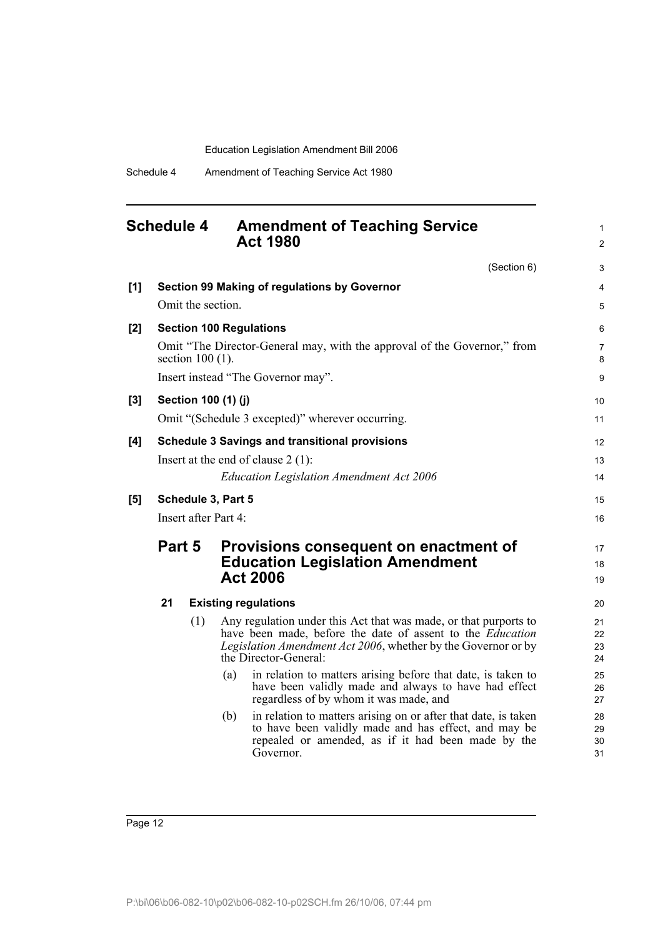## <span id="page-21-0"></span>**Schedule 4 Amendment of Teaching Service Act 1980**

|       |    |                                                 |                      | (Section 6)                                                                                                                        | 3        |  |  |  |
|-------|----|-------------------------------------------------|----------------------|------------------------------------------------------------------------------------------------------------------------------------|----------|--|--|--|
| $[1]$ |    |                                                 |                      | Section 99 Making of regulations by Governor                                                                                       | 4        |  |  |  |
|       |    | Omit the section.                               |                      |                                                                                                                                    | 5        |  |  |  |
| [2]   |    |                                                 |                      | <b>Section 100 Regulations</b>                                                                                                     | 6        |  |  |  |
|       |    | section $100(1)$ .                              |                      | Omit "The Director-General may, with the approval of the Governor," from                                                           | 7<br>8   |  |  |  |
|       |    |                                                 |                      | Insert instead "The Governor may".                                                                                                 | 9        |  |  |  |
| [3]   |    |                                                 | Section 100 (1) (j)  |                                                                                                                                    | 10       |  |  |  |
|       |    |                                                 |                      | Omit "(Schedule 3 excepted)" wherever occurring.                                                                                   | 11       |  |  |  |
| [4]   |    |                                                 |                      | <b>Schedule 3 Savings and transitional provisions</b>                                                                              | 12       |  |  |  |
|       |    |                                                 |                      | Insert at the end of clause $2(1)$ :                                                                                               | 13       |  |  |  |
|       |    |                                                 |                      | <b>Education Legislation Amendment Act 2006</b>                                                                                    | 14       |  |  |  |
| [5]   |    |                                                 | Schedule 3, Part 5   |                                                                                                                                    | 15       |  |  |  |
|       |    |                                                 | Insert after Part 4: |                                                                                                                                    | 16       |  |  |  |
|       |    | Part 5<br>Provisions consequent on enactment of |                      |                                                                                                                                    |          |  |  |  |
|       |    |                                                 |                      | <b>Education Legislation Amendment</b>                                                                                             | 18       |  |  |  |
|       |    |                                                 |                      | <b>Act 2006</b>                                                                                                                    | 19       |  |  |  |
|       | 21 |                                                 |                      | <b>Existing regulations</b>                                                                                                        | 20       |  |  |  |
|       |    | (1)                                             |                      | Any regulation under this Act that was made, or that purports to                                                                   | 21       |  |  |  |
|       |    |                                                 |                      | have been made, before the date of assent to the <i>Education</i><br>Legislation Amendment Act 2006, whether by the Governor or by | 22<br>23 |  |  |  |
|       |    |                                                 |                      | the Director-General:                                                                                                              | 24       |  |  |  |
|       |    |                                                 | (a)                  | in relation to matters arising before that date, is taken to                                                                       | 25       |  |  |  |
|       |    |                                                 |                      | have been validly made and always to have had effect<br>regardless of by whom it was made, and                                     | 26<br>27 |  |  |  |
|       |    |                                                 | (b)                  | in relation to matters arising on or after that date, is taken                                                                     | 28       |  |  |  |
|       |    |                                                 |                      | to have been validly made and has effect, and may be                                                                               | 29       |  |  |  |
|       |    |                                                 |                      |                                                                                                                                    | 30<br>31 |  |  |  |
|       |    |                                                 |                      | repealed or amended, as if it had been made by the<br>Governor.                                                                    |          |  |  |  |

1 2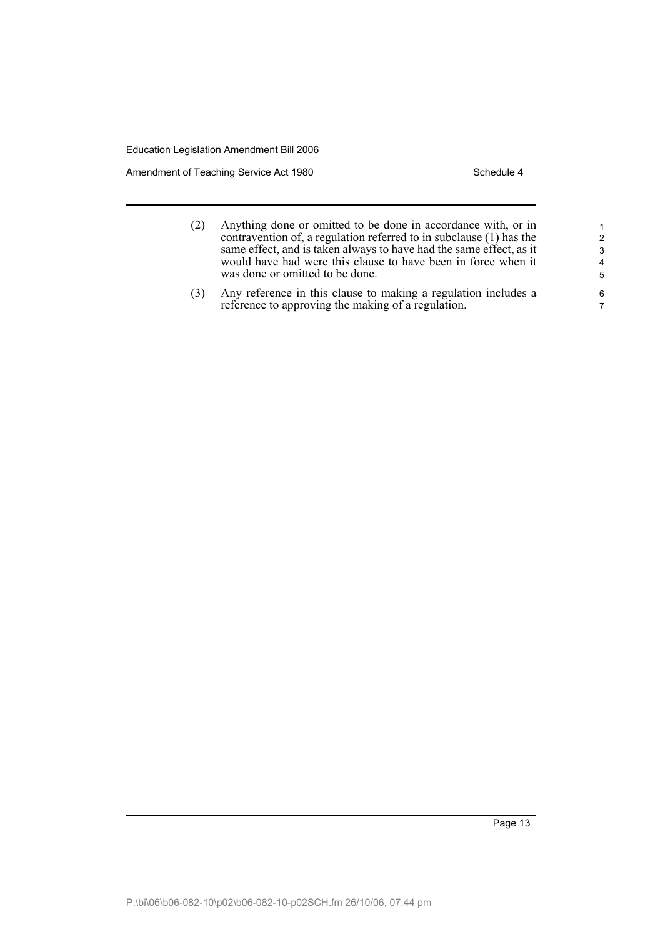Amendment of Teaching Service Act 1980 Schedule 4

- (2) Anything done or omitted to be done in accordance with, or in contravention of, a regulation referred to in subclause (1) has the same effect, and is taken always to have had the same effect, as it would have had were this clause to have been in force when it was done or omitted to be done.
- (3) Any reference in this clause to making a regulation includes a reference to approving the making of a regulation.